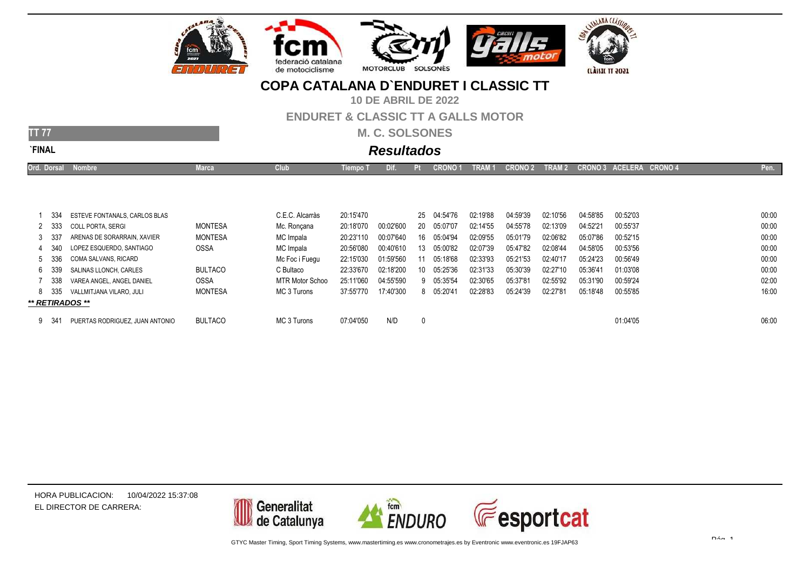

**10 DE ABRIL DE 2022**

#### **ENDURET & CLASSIC TT A GALLS MOTOR**

**M. C. SOLSONES**

**\*\* RETIRADOS \*\***

**TT 77**

# **Resultados**

| <b>Ord. Dorsal</b> | <b>Nombre</b>                 | Marca          | Club <sup>1</sup>      | Tiempo 1  | Dif.      |    | CRONO 1     | TRAI     | <b>CRON</b> | <b>TRAI</b><br>M 2. | <b>CRONO 3</b> | ACELERA CRONO 4 | Pen.  |
|--------------------|-------------------------------|----------------|------------------------|-----------|-----------|----|-------------|----------|-------------|---------------------|----------------|-----------------|-------|
|                    |                               |                |                        |           |           |    |             |          |             |                     |                |                 |       |
|                    |                               |                |                        |           |           |    |             |          |             |                     |                |                 |       |
|                    |                               |                |                        |           |           |    |             |          |             |                     |                |                 |       |
| -334               | ESTEVE FONTANALS, CARLOS BLAS |                | C.E.C. Alcarràs        | 20:15'470 |           |    | 25 04:54'76 | 02:19'88 | 04:59'39    | 02:10'56            | 04:58'85       | 00:52'03        | 00:00 |
| 2 333              | COLL PORTA. SERGI             | MONTESA        | Mc. Roncana            | 20:18'070 | 00:02'600 |    | 20 05:07'07 | 02:14'55 | 04:55'78    | 02:13'09            | 04:52'21       | 00:55'37        | 00:00 |
| 3 337              | ARENAS DE SORARRAIN, XAVIER   | MONTESA        | MC Impala              | 20:23'110 | 00:07'640 |    | 16 05:04'94 | 02:09'55 | 05:01'79    | 02:06'82            | 05:07'86       | 00:52'15        | 00:00 |
| 4 340              | LOPEZ ESQUERDO. SANTIAGO      | <b>OSSA</b>    | MC Impala              | 20:56'080 | 00:40'610 |    | 13 05:00'82 | 02:07'39 | 05:47'82    | 02:08'44            | 04:58'05       | 00:53'56        | 00:00 |
| 5 336              | COMA SALVANS. RICARD          |                | Mc Foc i Fuequ         | 22:15'030 | 01:59'560 |    | 05:18'68    | 02:33'93 | 05:21'53    | 02:40'17            | 05:24'23       | 00:56'49        | 00:00 |
| 6339               | SALINAS LLONCH. CARLES        | <b>BULTACO</b> | C Bultaco              | 22:33'670 | 02:18'200 | 10 | 05:25'36    | 02:31'33 | 05:30'39    | 02:27'10            | 05:36'41       | 01:03'08        | 00:00 |
| - 338              | VAREA ANGEL, ANGEL DANIEL     | <b>OSSA</b>    | <b>MTR Motor Schoo</b> | 25:11'060 | 04:55'590 |    | 9 05:35'54  | 02:30'65 | 05:37'81    | 02:55'92            | 05:31'90       | 00:59'24        | 02:00 |

MC 3 Turons 37:55'770 17:40'300 <sup>8</sup> 05:20'41 02:28'83 05:24'39 02:27'81 05:18'48 00:55'85 16:00

| 341<br>PUERTAS RODRIGUEZ. JUAN ANTONIO | <b>BULTACO</b> | MC 3 Turons | 07:04'050 | N/D | 01:04'05 | 06:00 |
|----------------------------------------|----------------|-------------|-----------|-----|----------|-------|
|                                        |                |             |           |     |          |       |

8 335 VALLMITJANA VILARO, JULI MONTESA

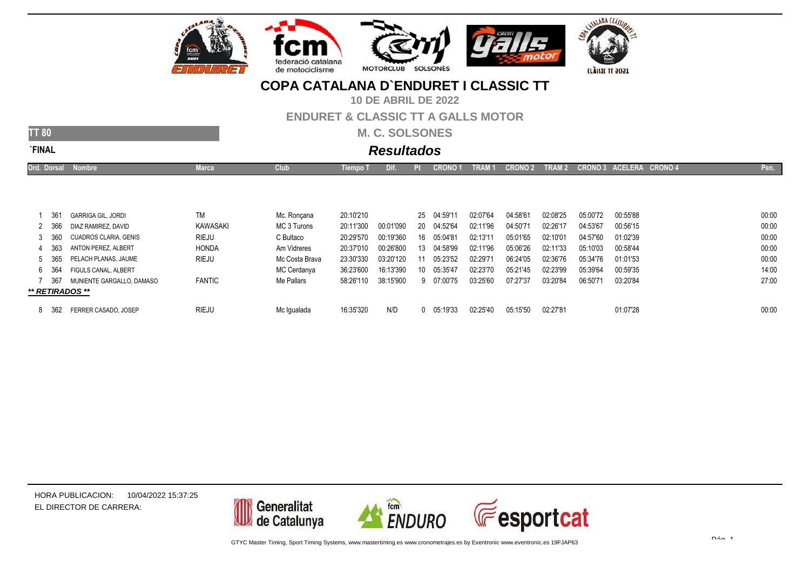

**10 DE ABRIL DE 2022**

#### **ENDURET & CLASSIC TT A GALLS MOTOR**

**M. C. SOLSONES**

| ۷<br>w<br>۔ |  |
|-------------|--|

**TT 80**

# **Resultados**

| Ord. Dorsal | <b>Nombre</b>                | <b>Marca</b>  | <b>Club</b>    | Tiempo T  | Dii.      |    | CRONO 1     | <b>TRAI</b> | <b>CRONO 2</b> | TRAM 2   |          | CRONO 3 ACELERA CRONO 4 | Pen.  |
|-------------|------------------------------|---------------|----------------|-----------|-----------|----|-------------|-------------|----------------|----------|----------|-------------------------|-------|
|             |                              |               |                |           |           |    |             |             |                |          |          |                         |       |
|             |                              |               |                |           |           |    |             |             |                |          |          |                         |       |
|             |                              |               |                |           |           |    |             |             |                |          |          |                         |       |
| -361        | <b>GARRIGA GIL. JORDI</b>    | TM            | Mc. Roncana    | 20:10'210 |           |    | 25 04:59'11 | 02:07'64    | 04:58'61       | 02:08'25 | 05:00'72 | 00:55'88                | 00:00 |
| 2 366       | DIAZ RAMIREZ, DAVID          | KAWASAKI      | MC 3 Turons    | 20:11'300 | 00:01'090 |    | 20 04:52'64 | 02:11'96    | 04:50'71       | 02:26'17 | 04:53'67 | 00:56'15                | 00:00 |
| 3 360       | <b>CUADROS CLARIA, GENIS</b> | <b>RIEJU</b>  | C Bultaco      | 20:29'570 | 00:19'360 |    | 16 05:04'81 | 02:13'11    | 05:01'65       | 02:10'01 | 04:57'60 | 01:02'39                | 00:00 |
| 4 363       | ANTON PEREZ. ALBERT          | <b>HONDA</b>  | Am Vidreres    | 20:37'010 | 00:26'800 | 13 | 04:58'99    | 02:11'96    | 05:06'26       | 02:11'33 | 05:10'03 | 00:58'44                | 00:00 |
| 5 365       | PELACH PLANAS, JAUME         | <b>RIEJU</b>  | Mc Costa Brava | 23:30'330 | 03:20'120 |    | 05:23'52    | 02:29'71    | 06:24'05       | 02:36'76 | 05:34'76 | 01:01'53                | 00:00 |
| 6 364       | FIGULS CANAL, ALBERT         |               | MC Cerdanya    | 36:23'600 | 16:13'390 |    | 10 05:35'47 | 02:23'70    | 05:21'45       | 02:23'99 | 05:39'64 | 00:59'35                | 14:00 |
| -367        | MUNIENTE GARGALLO. DAMASO    | <b>FANTIC</b> | Me Pallars     | 58:26'110 | 38:15'900 |    | 9 07:00'75  | 03:25'60    | 07:27'37       | 03:20'84 | 06:50'71 | 03:20'84                | 27:00 |
|             | ** RETIRADOS **              |               |                |           |           |    |             |             |                |          |          |                         |       |

Mc Igualada 16:35'320 N/D <sup>0</sup> 05:19'33 02:25'40 05:15'50 02:27'81 01:07'28 00:00

8 <sup>362</sup> FERRER CASADO, JOSEP

RIEJU

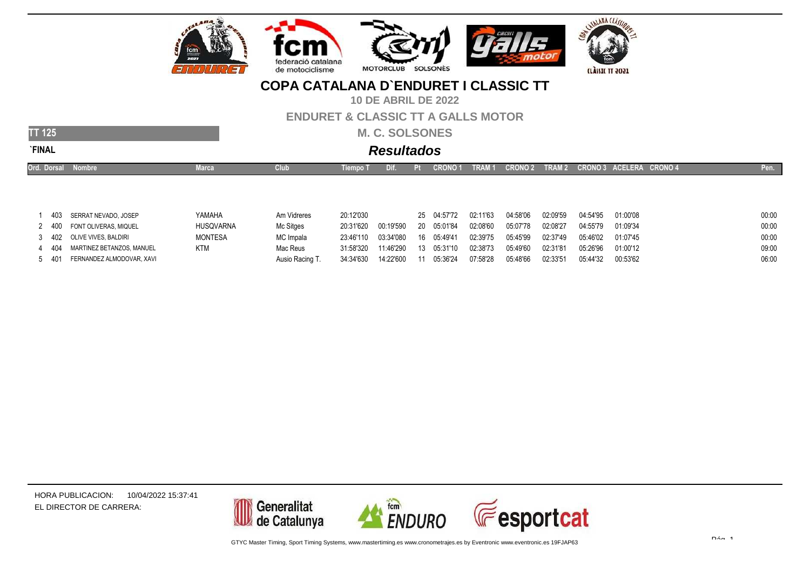

**10 DE ABRIL DE 2022**

#### **ENDURET & CLASSIC TT A GALLS MOTOR**

**M. C. SOLSONES**

# **Resultados**

| Ord. Dorsal | Nombre                     | <b>Marca</b>   | Club        | Tiempo T  | Dif.      |           | <b>CRONO1</b> | TRAM <sub>1</sub> | CRONO 2 TRAM 2 |          |          | CRONO 3 ACELERA CRONO 4 | Pen.  |
|-------------|----------------------------|----------------|-------------|-----------|-----------|-----------|---------------|-------------------|----------------|----------|----------|-------------------------|-------|
|             |                            |                |             |           |           |           |               |                   |                |          |          |                         |       |
|             |                            |                |             |           |           |           |               |                   |                |          |          |                         |       |
|             |                            |                |             |           |           |           |               | 02:11'63          |                |          |          |                         | 00:00 |
|             | 403 SERRAT NEVADO, JOSEP   | YAMAHA         | Am Vidreres | 20:12'030 |           |           | 25 04:57'72   |                   | 04:58'06       | 02:09'59 | 04:54'95 | 01:00'08                |       |
| 2 400       | FONT OLIVERAS, MIQUEL      | HUSQVARNA      | Mc Sitges   | 20:31'620 | 00:19'590 | <b>20</b> | 05:01'84      | 02:08'60          | 05:07'78       | 02:08'27 | 04:55'79 | 01:09'34                | 00:00 |
|             | 3 402 OLIVE VIVES, BALDIRI | <b>MONTESA</b> | MC Impala   | 23:46'110 | 03:34'080 | 16        | 05:49'41      | 02:39'75          | 05:45'99       | 02:37'49 | 05:46'02 | 01:07'45                | 00:00 |

Mac Reus 31:58'320 11:46'290 <sup>13</sup> 05:31'10 02:38'73 05:49'60 02:31'81 05:26'96 01:00'12 09:00

| 404 | MARTINEZ BETANZOS, MANUEL | <b>KTM</b> |
|-----|---------------------------|------------|

5 401 <sup>401</sup> FERNANDEZ ALMODOVAR, XAVI Ausio Racing T. 34:34'630 14:22'600 <sup>11</sup> 05:36'24 07:58'28 05:48'66 02:33'51 05:44'32 00:53'62 06:00

HORA PUBLICACION:EL DIRECTOR DE CARRERA:10/04/2022 15:37:41

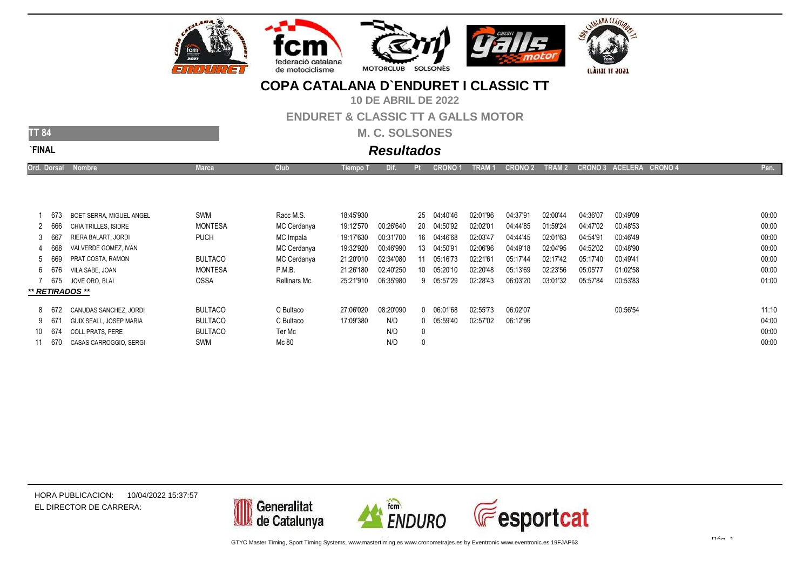

# JALAMA CLASSIO

**ILÀSSIC TT 2021** 

## **COPA CATALANA D`ENDURET I CLASSIC TT**

**10 DE ABRIL DE 2022**

#### **ENDURET & CLASSIC TT A GALLS MOTOR**

**M. C. SOLSONES**

**TT 84**

# **Resultados**

| Ord. Dorsal<br><b>Nombre</b><br>________ | Marca | $-100$ | riempo | הת | <b>CRONO1</b> | TRAM 1 CRONO 2 | <b>STATE</b> | TRAM 2 CRONO 3 ACELERA CRONO 4 | Pen. I |
|------------------------------------------|-------|--------|--------|----|---------------|----------------|--------------|--------------------------------|--------|
|                                          |       |        |        |    |               |                |              |                                |        |

| 673    | BOET SERRA. MIGUEL ANGEL | SWM            | Racc M.S.     | 18:45'930 |           |              | 25 04:40'46    | 02:01'96 | 04:37'91 | 02:00'44 | 04:36'07 | 00:49'09 | 00:00 |
|--------|--------------------------|----------------|---------------|-----------|-----------|--------------|----------------|----------|----------|----------|----------|----------|-------|
| 2 666  | CHIA TRILLES. ISIDRE     | <b>MONTESA</b> | MC Cerdanya   | 19:12'570 | 00:26'640 | 20           | 04:50'92       | 02:02'01 | 04:44'85 | 01:59'24 | 04:47'02 | 00:48'53 | 00:00 |
| 3 667  | RIERA BALART. JORDI      | <b>PUCH</b>    | MC Impala     | 19:17'630 | 00:31'700 | 16           | 04:46'68       | 02:03'47 | 04:44'45 | 02:01'63 | 04:54'91 | 00:46'49 | 00:00 |
| 4 668  | VALVERDE GOMEZ. IVAN     |                | MC Cerdanya   | 19:32'920 | 00:46'990 | 13           | 04:50'91       | 02:06'96 | 04:49'18 | 02:04'95 | 04:52'02 | 00:48'90 | 00:00 |
| 5 669  | PRAT COSTA, RAMON        | <b>BULTACO</b> | MC Cerdanya   | 21:20'010 | 02:34'080 |              | 05:16'73       | 02:21'61 | 05:17'44 | 02:17'42 | 05:17'40 | 00:49'41 | 00:00 |
| 6 676  | VILA SABE. JOAN          | <b>MONTESA</b> | P.M.B.        | 21:26'180 | 02:40'250 | 10           | 05:20'10       | 02:20'48 | 05:13'69 | 02:23'56 | 05:05'77 | 01:02'58 | 00:00 |
| 7 675  | JOVE ORO. BLAI           | <b>OSSA</b>    | Rellinars Mc. | 25:21'910 | 06:35'980 |              | 9 05:57'29     | 02:28'43 | 06:03'20 | 03:01'32 | 05:57'84 | 00:53'83 | 01:00 |
|        | ** RETIRADOS **          |                |               |           |           |              |                |          |          |          |          |          |       |
|        |                          |                |               | 27:06'020 | 08:20'090 |              |                |          |          |          |          |          |       |
| 8 672  | CANUDAS SANCHEZ, JORDI   | <b>BULTACO</b> | C Bultaco     |           |           |              | 0 06:01'68     | 02:55'73 | 06:02'07 |          |          | 00:56'54 | 11:10 |
| 9 671  | GUIX SEALL. JOSEP MARIA  | <b>BULTACO</b> | C Bultaco     | 17:09'380 | N/D       |              | $0$ $05:59'40$ | 02:57'02 | 06:12'96 |          |          |          | 04:00 |
| 10 674 | <b>COLL PRATS, PERE</b>  | <b>BULTACO</b> | Ter Mc        |           | N/D       | $\mathbf{0}$ |                |          |          |          |          |          | 00:00 |
| 11 670 | CASAS CARROGGIO, SERGI   | SWM            | Mc 80         |           | N/D       |              |                |          |          |          |          |          | 00:00 |
|        |                          |                |               |           |           |              |                |          |          |          |          |          |       |

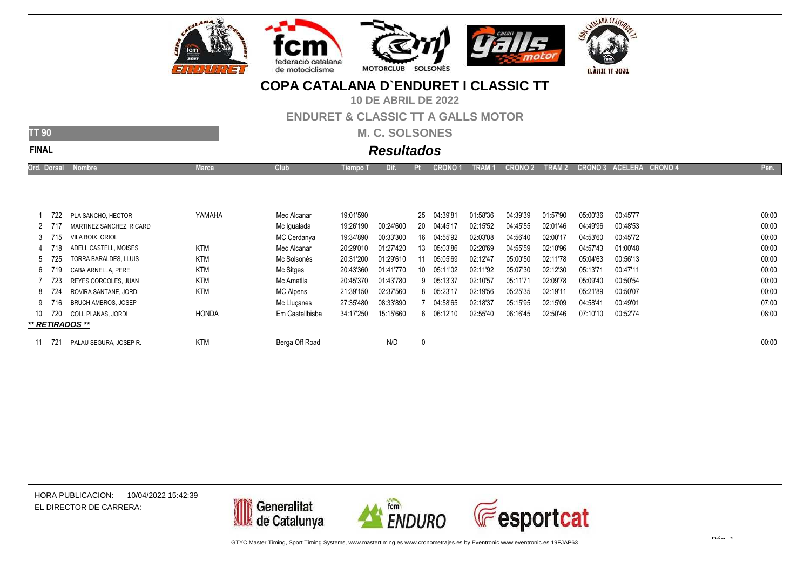

**10 DE ABRIL DE 2022**

#### **ENDURET & CLASSIC TT A GALLS MOTOR**

**M. C. SOLSONES**

**TT 90**

# **Resultados**

| Ord. Dorsal<br><b>Nombre</b> | чке<br>_____ | $rac{1}{2}$ | l lempo | ин<br>and the state of the state of the state of the state of the state of the state of the state of the state of th | <b>CRONO1</b> | TRAM 1<br><b>STATE</b> | <b>CRONO 2</b> | <b>TRAM2</b><br><b>CONTRACTOR</b> | <b>CRONO 4</b><br><b>ACELERA</b><br>CRONO 3'<br>ERA . |  |
|------------------------------|--------------|-------------|---------|----------------------------------------------------------------------------------------------------------------------|---------------|------------------------|----------------|-----------------------------------|-------------------------------------------------------|--|
|                              |              |             |         |                                                                                                                      |               |                        |                |                                   |                                                       |  |

| 722    | PLA SANCHO, HECTOR         | YAMAHA       | Mec Alcanar     | 19:01'590 |           | 25 | 04:39'81 | 01:58'36 | 04:39'39 | 01:57'90 | 05:00'36 | 00:45'77 | 00:00 |
|--------|----------------------------|--------------|-----------------|-----------|-----------|----|----------|----------|----------|----------|----------|----------|-------|
| 2 717  | MARTINEZ SANCHEZ, RICARD   |              | Mc Iqualada     | 19:26'190 | 00:24'600 | 20 | 04:45'17 | 02:15'52 | 04:45'55 | 02:01'46 | 04:49'96 | 00:48'53 | 00:00 |
| 3 715  | VILA BOIX. ORIOL           |              | MC Cerdanya     | 19:34'890 | 00:33'300 | 16 | 04:55'92 | 02:03'08 | 04:56'40 | 02:00'17 | 04:53'60 | 00:45'72 | 00:00 |
| 4 718  | ADELL CASTELL. MOISES      | <b>KTM</b>   | Mec Alcanar     | 20:29'010 | 01:27'420 | 13 | 05:03'86 | 02:20'69 | 04:55'59 | 02:10'96 | 04:57'43 | 01:00'48 | 00:00 |
| 5 725  | TORRA BARALDES, LLUIS      | <b>KTM</b>   | Mc Solsonès     | 20:31'200 | 01:29'610 |    | 05:05'69 | 02:12'47 | 05:00'50 | 02:11'78 | 05:04'63 | 00:56'13 | 00:00 |
| 6 719  | CABA ARNELLA, PERE         | <b>KTM</b>   | Mc Sitges       | 20:43'360 | 01:41'770 | 10 | 05:11'02 | 02:11'92 | 05:07'30 | 02:12'30 | 05:13'71 | 00:47'11 | 00:00 |
| - 723  | REYES CORCOLES, JUAN       | <b>KTM</b>   | Mc Ametlla      | 20:45'370 | 01:43'780 | 9  | 05:13'37 | 02:10'57 | 05:11'71 | 02:09'78 | 05:09'40 | 00:50'54 | 00:00 |
| 8 724  | ROVIRA SANTANE, JORDI      | <b>KTM</b>   | MC Alpens       | 21:39'150 | 02:37'560 | 8  | 05:23'17 | 02:19'56 | 05:25'35 | 02:19'11 | 05:21'89 | 00:50'07 | 00:00 |
| 9 716  | <b>BRUCH AMBROS, JOSEP</b> |              | Mc Llucanes     | 27:35'480 | 08:33'890 |    | 04:58'65 | 02:18'37 | 05:15'95 | 02:15'09 | 04:58'41 | 00:49'01 | 07:00 |
| 10 720 | <b>COLL PLANAS, JORDI</b>  | <b>HONDA</b> | Em Castellbisba | 34:17'250 | 15:15'660 | 6  | 06:12'10 | 02:55'40 | 06:16'45 | 02:50'46 | 07:10'10 | 00:52'74 | 08:00 |
|        | ** RETIRADOS **            |              |                 |           |           |    |          |          |          |          |          |          |       |
|        |                            |              |                 |           |           |    |          |          |          |          |          |          |       |
|        | PALAU SEGURA. JOSEP R.     | <b>KTM</b>   | Berga Off Road  |           | N/D       | 0  |          |          |          |          |          |          | 00:00 |